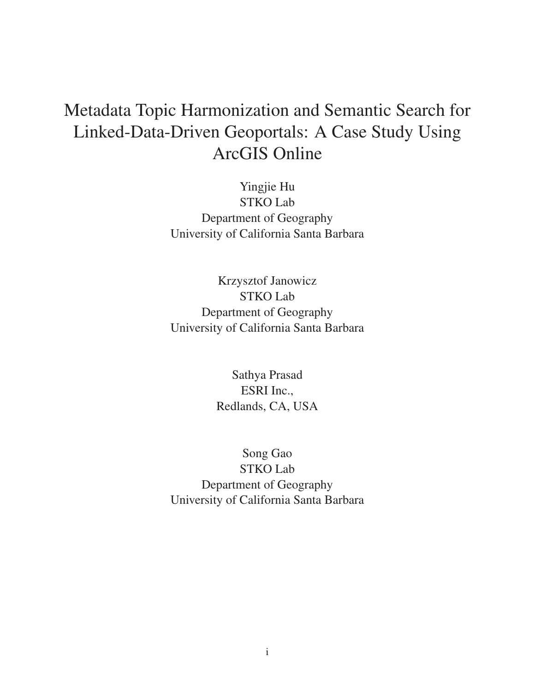# Metadata Topic Harmonization and Semantic Search for Linked-Data-Driven Geoportals: A Case Study Using ArcGIS Online

Yingjie Hu STKO Lab Department of Geography University of California Santa Barbara

Krzysztof Janowicz STKO Lab Department of Geography University of California Santa Barbara

> Sathya Prasad ESRI Inc., Redlands, CA, USA

Song Gao STKO Lab Department of Geography University of California Santa Barbara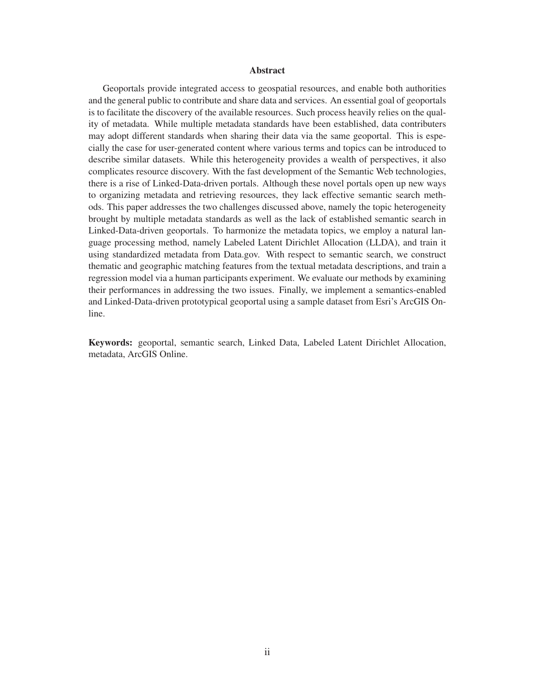#### **Abstract**

Geoportals provide integrated access to geospatial resources, and enable both authorities and the general public to contribute and share data and services. An essential goal of geoportals is to facilitate the discovery of the available resources. Such process heavily relies on the quality of metadata. While multiple metadata standards have been established, data contributers may adopt different standards when sharing their data via the same geoportal. This is especially the case for user-generated content where various terms and topics can be introduced to describe similar datasets. While this heterogeneity provides a wealth of perspectives, it also complicates resource discovery. With the fast development of the Semantic Web technologies, there is a rise of Linked-Data-driven portals. Although these novel portals open up new ways to organizing metadata and retrieving resources, they lack effective semantic search methods. This paper addresses the two challenges discussed above, namely the topic heterogeneity brought by multiple metadata standards as well as the lack of established semantic search in Linked-Data-driven geoportals. To harmonize the metadata topics, we employ a natural language processing method, namely Labeled Latent Dirichlet Allocation (LLDA), and train it using standardized metadata from Data.gov. With respect to semantic search, we construct thematic and geographic matching features from the textual metadata descriptions, and train a regression model via a human participants experiment. We evaluate our methods by examining their performances in addressing the two issues. Finally, we implement a semantics-enabled and Linked-Data-driven prototypical geoportal using a sample dataset from Esri's ArcGIS Online.

Keywords: geoportal, semantic search, Linked Data, Labeled Latent Dirichlet Allocation, metadata, ArcGIS Online.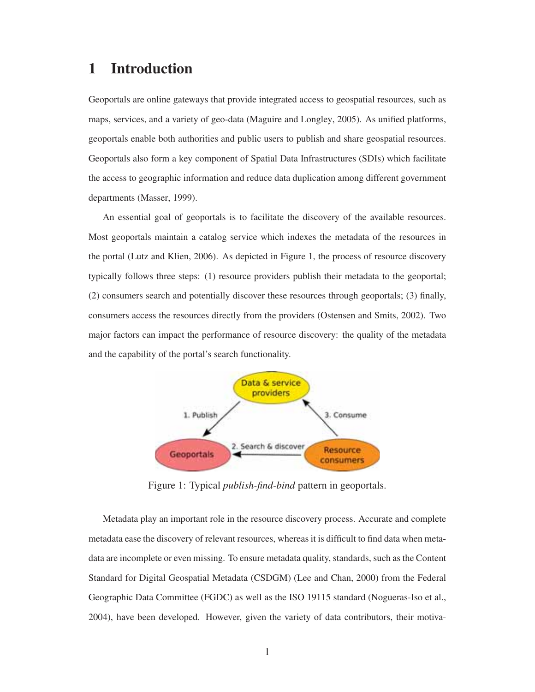# 1 Introduction

Geoportals are online gateways that provide integrated access to geospatial resources, such as maps, services, and a variety of geo-data (Maguire and Longley, 2005). As unified platforms, geoportals enable both authorities and public users to publish and share geospatial resources. Geoportals also form a key component of Spatial Data Infrastructures (SDIs) which facilitate the access to geographic information and reduce data duplication among different government departments (Masser, 1999).

An essential goal of geoportals is to facilitate the discovery of the available resources. Most geoportals maintain a catalog service which indexes the metadata of the resources in the portal (Lutz and Klien, 2006). As depicted in Figure 1, the process of resource discovery typically follows three steps: (1) resource providers publish their metadata to the geoportal; (2) consumers search and potentially discover these resources through geoportals; (3) finally, consumers access the resources directly from the providers (Ostensen and Smits, 2002). Two major factors can impact the performance of resource discovery: the quality of the metadata and the capability of the portal's search functionality.



Figure 1: Typical *publish-find-bind* pattern in geoportals.

Metadata play an important role in the resource discovery process. Accurate and complete metadata ease the discovery of relevant resources, whereas it is difficult to find data when metadata are incomplete or even missing. To ensure metadata quality, standards, such as the Content Standard for Digital Geospatial Metadata (CSDGM) (Lee and Chan, 2000) from the Federal Geographic Data Committee (FGDC) as well as the ISO 19115 standard (Nogueras-Iso et al., 2004), have been developed. However, given the variety of data contributors, their motiva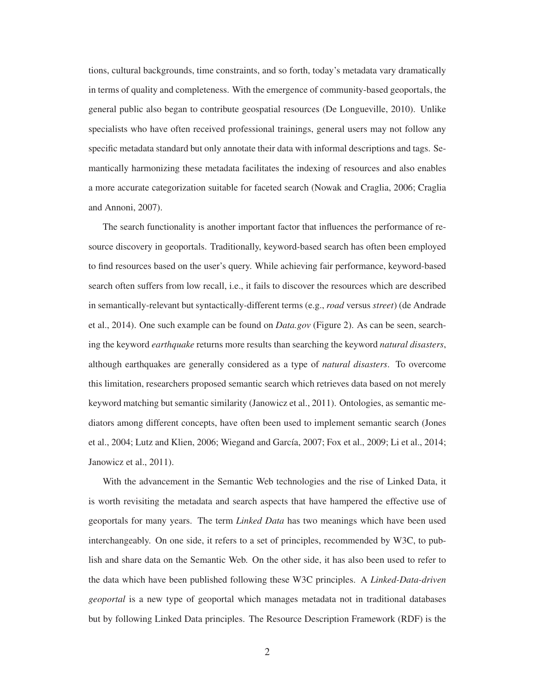tions, cultural backgrounds, time constraints, and so forth, today's metadata vary dramatically in terms of quality and completeness. With the emergence of community-based geoportals, the general public also began to contribute geospatial resources (De Longueville, 2010). Unlike specialists who have often received professional trainings, general users may not follow any specific metadata standard but only annotate their data with informal descriptions and tags. Semantically harmonizing these metadata facilitates the indexing of resources and also enables a more accurate categorization suitable for faceted search (Nowak and Craglia, 2006; Craglia and Annoni, 2007).

The search functionality is another important factor that influences the performance of resource discovery in geoportals. Traditionally, keyword-based search has often been employed to find resources based on the user's query. While achieving fair performance, keyword-based search often suffers from low recall, i.e., it fails to discover the resources which are described in semantically-relevant but syntactically-different terms (e.g., *road* versus *street*) (de Andrade et al., 2014). One such example can be found on *Data.gov* (Figure 2). As can be seen, searching the keyword *earthquake* returns more results than searching the keyword *natural disasters*, although earthquakes are generally considered as a type of *natural disasters*. To overcome this limitation, researchers proposed semantic search which retrieves data based on not merely keyword matching but semantic similarity (Janowicz et al., 2011). Ontologies, as semantic mediators among different concepts, have often been used to implement semantic search (Jones et al., 2004; Lutz and Klien, 2006; Wiegand and García, 2007; Fox et al., 2009; Li et al., 2014; Janowicz et al., 2011).

With the advancement in the Semantic Web technologies and the rise of Linked Data, it is worth revisiting the metadata and search aspects that have hampered the effective use of geoportals for many years. The term *Linked Data* has two meanings which have been used interchangeably. On one side, it refers to a set of principles, recommended by W3C, to publish and share data on the Semantic Web. On the other side, it has also been used to refer to the data which have been published following these W3C principles. A *Linked-Data-driven geoportal* is a new type of geoportal which manages metadata not in traditional databases but by following Linked Data principles. The Resource Description Framework (RDF) is the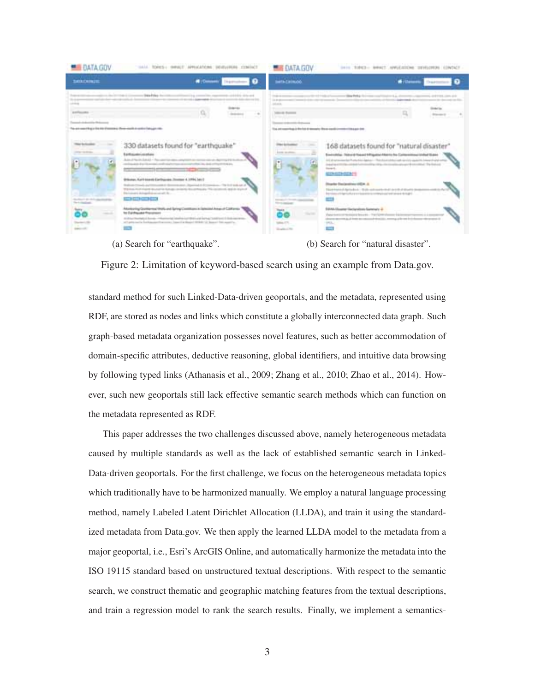| <b>BUILDATA GOV</b>                                                                                                                                                                            | this there's seat? Amulation resturates cracked                                                                                                                                                                                                                                                                                                                                                                                                                                                                                                                                                                                                                                                                                                                                                                                                                                                                                                                                                                                                                                                                                                  | <b>BILE EATA GOV</b>                                                                                                                                                                                | 2411 TUNES - BRACT ANNESSEN TENNING CONTACT                                                                                                                                                                                                                                                                                                                                                                                                                                                                                                                                                                                                                                                                                                                                                                                                                                                                                                                                                                               |
|------------------------------------------------------------------------------------------------------------------------------------------------------------------------------------------------|--------------------------------------------------------------------------------------------------------------------------------------------------------------------------------------------------------------------------------------------------------------------------------------------------------------------------------------------------------------------------------------------------------------------------------------------------------------------------------------------------------------------------------------------------------------------------------------------------------------------------------------------------------------------------------------------------------------------------------------------------------------------------------------------------------------------------------------------------------------------------------------------------------------------------------------------------------------------------------------------------------------------------------------------------------------------------------------------------------------------------------------------------|-----------------------------------------------------------------------------------------------------------------------------------------------------------------------------------------------------|---------------------------------------------------------------------------------------------------------------------------------------------------------------------------------------------------------------------------------------------------------------------------------------------------------------------------------------------------------------------------------------------------------------------------------------------------------------------------------------------------------------------------------------------------------------------------------------------------------------------------------------------------------------------------------------------------------------------------------------------------------------------------------------------------------------------------------------------------------------------------------------------------------------------------------------------------------------------------------------------------------------------------|
| <b>SKILOUNIE</b>                                                                                                                                                                               | $-1.5 - 1.0$                                                                                                                                                                                                                                                                                                                                                                                                                                                                                                                                                                                                                                                                                                                                                                                                                                                                                                                                                                                                                                                                                                                                     | <b>SWITH CATINUOUS</b>                                                                                                                                                                              | <b>M</b> riteresse<br>74411                                                                                                                                                                                                                                                                                                                                                                                                                                                                                                                                                                                                                                                                                                                                                                                                                                                                                                                                                                                               |
| $1.0 - 0.0$<br>Thermal Address of the America<br>The pre-count Page of the Ale of executives. We are weakly to candidate for a paint of<br>competitive distances<br>$-0.001$<br><b>CARD IN</b> | Grand Strings Incommon<br>THE AMERICAN PROPERTY AND RESIDENCE.<br>and a distance company of the<br><b>SHAFFAS</b><br>330 datasets found for "earthquake"<br>Estebalako Lokalda<br>Auto of No. 9. (2012) - The capacity many completely as means ago as the complete index of<br>produces about all an idea around<br>as a complete things, they deal and has the state as a<br>The property of the control of the property of<br>Brikalner, Kurl I blande Earthquake, Torollen 4, 1774), Jay 2.<br>Rodraw Claude and Claude and American and Algorithm & Commission - The End and an al-<br>Williams Hurt Faste Municipal Europe, collects No. 27 No. 24, 15, 25, 26, 27, 28, 29, 29, 29<br>Personal struggling acquired by a committee of the committee of the committee of<br><b>000 000 000 000</b><br>Alcohoring Contigrent Wolls and Spring Contificance Sphested Ave.as of CARamic<br>Tel Edit Procedure Procedures<br>an about the map of during - refeative tap latested and and and harmal total front of their institutes.<br>of Latits bally for East Auction Projection: Capacit's Magazine Strictle City Separative Automobile<br>≕ | $-22.0$<br>-<br><b>Solicited Statement</b><br>and characters the process<br>Control of the control of<br><b>PROFIT BY ENGINEER</b><br><b>SILE SCARS</b><br><b>START OF</b><br><b>Structure City</b> | <b>Sing Park is factorized construc-</b><br>$-1.1 - 1.0$<br>and trusts come deli-<br><b>Strake La</b><br><b>Discussion II</b><br>The art countries in the lot of stansals: these applications in the part for<br>168 datasets found for "natural disaster"<br>Emershirley, Televisi Fluxust Milligation Alluminis for Contentinies (childer States<br>USE absorption for the first data  This discipated countries apply to be an electronic<br>back a create strategiction of the third in an analysis and the field of<br><b>Travelli</b><br><b>COMPACT</b><br><b>Hoader Electerations (AE)R </b><br>This is trunk of April a double - This the national term that the total of Minutes denter<br>beries of lartichers risearch criticis of original and size in tight<br>₩<br>\$\$5.50. Measurer Garcianships is Garanary &<br>Perge is entitled woman or beautiful. The Figure of some injuries<br>details decrease at least to concern the section arrange and real from the second of<br><b>UREAU</b><br><b>LUS</b> |

(a) Search for "earthquake". (b) Search for "natural disaster".

Figure 2: Limitation of keyword-based search using an example from Data.gov.

standard method for such Linked-Data-driven geoportals, and the metadata, represented using RDF, are stored as nodes and links which constitute a globally interconnected data graph. Such graph-based metadata organization possesses novel features, such as better accommodation of domain-specific attributes, deductive reasoning, global identifiers, and intuitive data browsing by following typed links (Athanasis et al., 2009; Zhang et al., 2010; Zhao et al., 2014). However, such new geoportals still lack effective semantic search methods which can function on the metadata represented as RDF.

This paper addresses the two challenges discussed above, namely heterogeneous metadata caused by multiple standards as well as the lack of established semantic search in Linked-Data-driven geoportals. For the first challenge, we focus on the heterogeneous metadata topics which traditionally have to be harmonized manually. We employ a natural language processing method, namely Labeled Latent Dirichlet Allocation (LLDA), and train it using the standardized metadata from Data.gov. We then apply the learned LLDA model to the metadata from a major geoportal, i.e., Esri's ArcGIS Online, and automatically harmonize the metadata into the ISO 19115 standard based on unstructured textual descriptions. With respect to the semantic search, we construct thematic and geographic matching features from the textual descriptions, and train a regression model to rank the search results. Finally, we implement a semantics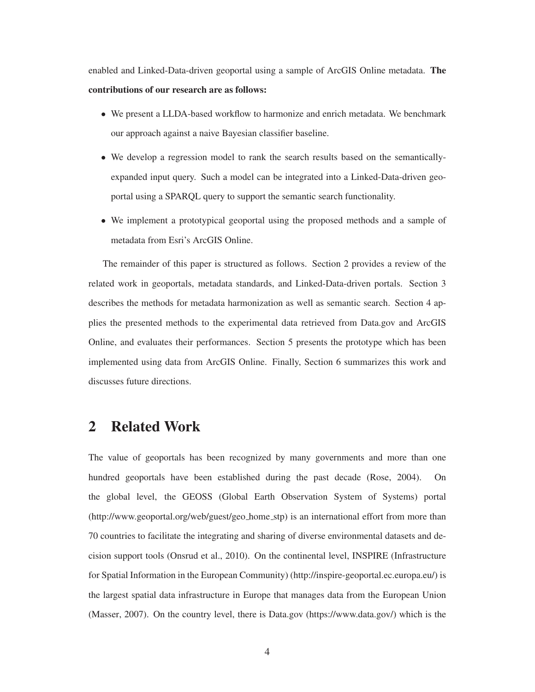enabled and Linked-Data-driven geoportal using a sample of ArcGIS Online metadata. The contributions of our research are as follows:

- We present a LLDA-based workflow to harmonize and enrich metadata. We benchmark our approach against a naive Bayesian classifier baseline.
- We develop a regression model to rank the search results based on the semanticallyexpanded input query. Such a model can be integrated into a Linked-Data-driven geoportal using a SPARQL query to support the semantic search functionality.
- We implement a prototypical geoportal using the proposed methods and a sample of metadata from Esri's ArcGIS Online.

The remainder of this paper is structured as follows. Section 2 provides a review of the related work in geoportals, metadata standards, and Linked-Data-driven portals. Section 3 describes the methods for metadata harmonization as well as semantic search. Section 4 applies the presented methods to the experimental data retrieved from Data.gov and ArcGIS Online, and evaluates their performances. Section 5 presents the prototype which has been implemented using data from ArcGIS Online. Finally, Section 6 summarizes this work and discusses future directions.

## 2 Related Work

The value of geoportals has been recognized by many governments and more than one hundred geoportals have been established during the past decade (Rose, 2004). On the global level, the GEOSS (Global Earth Observation System of Systems) portal (http://www.geoportal.org/web/guest/geo home stp) is an international effort from more than 70 countries to facilitate the integrating and sharing of diverse environmental datasets and decision support tools (Onsrud et al., 2010). On the continental level, INSPIRE (Infrastructure for Spatial Information in the European Community) (http://inspire-geoportal.ec.europa.eu/) is the largest spatial data infrastructure in Europe that manages data from the European Union (Masser, 2007). On the country level, there is Data.gov (https://www.data.gov/) which is the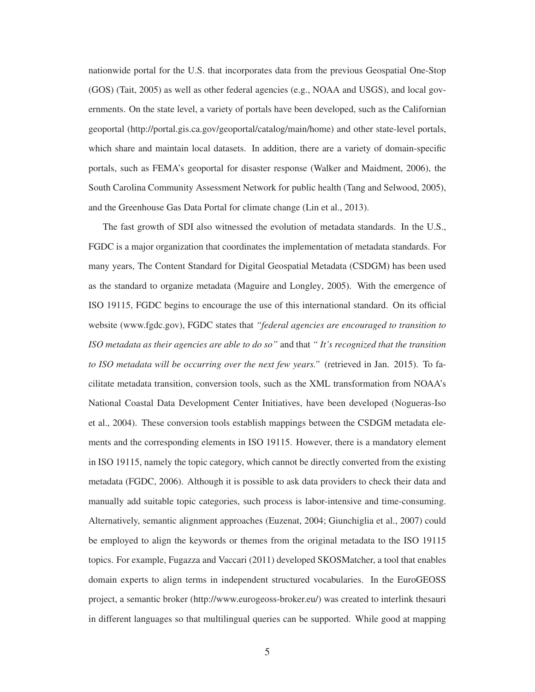nationwide portal for the U.S. that incorporates data from the previous Geospatial One-Stop (GOS) (Tait, 2005) as well as other federal agencies (e.g., NOAA and USGS), and local governments. On the state level, a variety of portals have been developed, such as the Californian geoportal (http://portal.gis.ca.gov/geoportal/catalog/main/home) and other state-level portals, which share and maintain local datasets. In addition, there are a variety of domain-specific portals, such as FEMA's geoportal for disaster response (Walker and Maidment, 2006), the South Carolina Community Assessment Network for public health (Tang and Selwood, 2005), and the Greenhouse Gas Data Portal for climate change (Lin et al., 2013).

The fast growth of SDI also witnessed the evolution of metadata standards. In the U.S., FGDC is a major organization that coordinates the implementation of metadata standards. For many years, The Content Standard for Digital Geospatial Metadata (CSDGM) has been used as the standard to organize metadata (Maguire and Longley, 2005). With the emergence of ISO 19115, FGDC begins to encourage the use of this international standard. On its official website (www.fgdc.gov), FGDC states that *"federal agencies are encouraged to transition to ISO metadata as their agencies are able to do so"* and that *" It's recognized that the transition to ISO metadata will be occurring over the next few years."* (retrieved in Jan. 2015). To facilitate metadata transition, conversion tools, such as the XML transformation from NOAA's National Coastal Data Development Center Initiatives, have been developed (Nogueras-Iso et al., 2004). These conversion tools establish mappings between the CSDGM metadata elements and the corresponding elements in ISO 19115. However, there is a mandatory element in ISO 19115, namely the topic category, which cannot be directly converted from the existing metadata (FGDC, 2006). Although it is possible to ask data providers to check their data and manually add suitable topic categories, such process is labor-intensive and time-consuming. Alternatively, semantic alignment approaches (Euzenat, 2004; Giunchiglia et al., 2007) could be employed to align the keywords or themes from the original metadata to the ISO 19115 topics. For example, Fugazza and Vaccari (2011) developed SKOSMatcher, a tool that enables domain experts to align terms in independent structured vocabularies. In the EuroGEOSS project, a semantic broker (http://www.eurogeoss-broker.eu/) was created to interlink thesauri in different languages so that multilingual queries can be supported. While good at mapping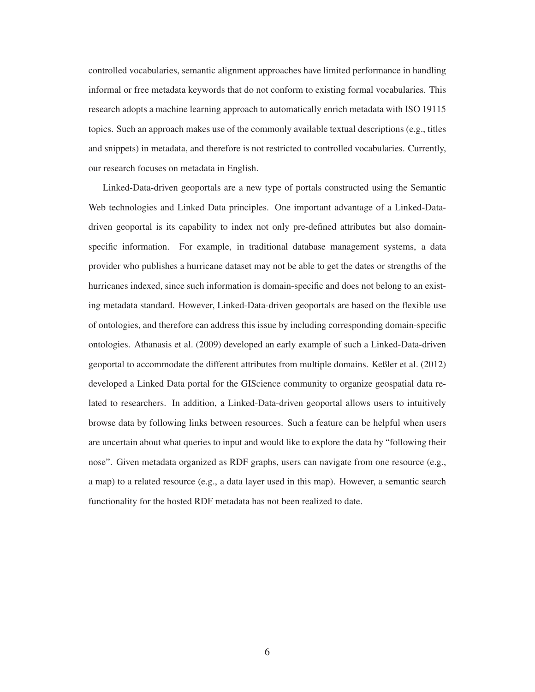controlled vocabularies, semantic alignment approaches have limited performance in handling informal or free metadata keywords that do not conform to existing formal vocabularies. This research adopts a machine learning approach to automatically enrich metadata with ISO 19115 topics. Such an approach makes use of the commonly available textual descriptions (e.g., titles and snippets) in metadata, and therefore is not restricted to controlled vocabularies. Currently, our research focuses on metadata in English.

Linked-Data-driven geoportals are a new type of portals constructed using the Semantic Web technologies and Linked Data principles. One important advantage of a Linked-Datadriven geoportal is its capability to index not only pre-defined attributes but also domainspecific information. For example, in traditional database management systems, a data provider who publishes a hurricane dataset may not be able to get the dates or strengths of the hurricanes indexed, since such information is domain-specific and does not belong to an existing metadata standard. However, Linked-Data-driven geoportals are based on the flexible use of ontologies, and therefore can address this issue by including corresponding domain-specific ontologies. Athanasis et al. (2009) developed an early example of such a Linked-Data-driven geoportal to accommodate the different attributes from multiple domains. Keßler et al. (2012) developed a Linked Data portal for the GIScience community to organize geospatial data related to researchers. In addition, a Linked-Data-driven geoportal allows users to intuitively browse data by following links between resources. Such a feature can be helpful when users are uncertain about what queries to input and would like to explore the data by "following their nose". Given metadata organized as RDF graphs, users can navigate from one resource (e.g., a map) to a related resource (e.g., a data layer used in this map). However, a semantic search functionality for the hosted RDF metadata has not been realized to date.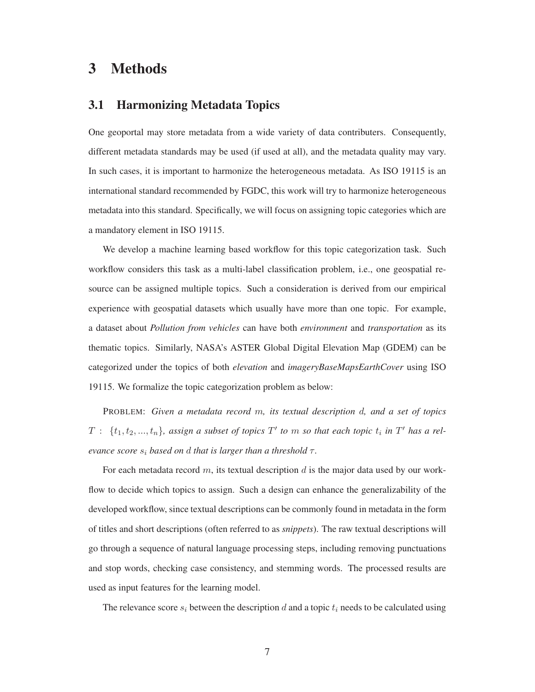# 3 Methods

### 3.1 Harmonizing Metadata Topics

One geoportal may store metadata from a wide variety of data contributers. Consequently, different metadata standards may be used (if used at all), and the metadata quality may vary. In such cases, it is important to harmonize the heterogeneous metadata. As ISO 19115 is an international standard recommended by FGDC, this work will try to harmonize heterogeneous metadata into this standard. Specifically, we will focus on assigning topic categories which are a mandatory element in ISO 19115.

We develop a machine learning based workflow for this topic categorization task. Such workflow considers this task as a multi-label classification problem, i.e., one geospatial resource can be assigned multiple topics. Such a consideration is derived from our empirical experience with geospatial datasets which usually have more than one topic. For example, a dataset about *Pollution from vehicles* can have both *environment* and *transportation* as its thematic topics. Similarly, NASA's ASTER Global Digital Elevation Map (GDEM) can be categorized under the topics of both *elevation* and *imageryBaseMapsEarthCover* using ISO 19115. We formalize the topic categorization problem as below:

PROBLEM: *Given a metadata record* m*, its textual description* d*, and a set of topics*  $T: \{t_1, t_2, ..., t_n\}$ , assign a subset of topics  $T'$  to  $m$  so that each topic  $t_i$  in  $T'$  has a rel*evance score*  $s_i$  *based on d that is larger than a threshold*  $\tau$ *.* 

For each metadata record  $m$ , its textual description  $d$  is the major data used by our workflow to decide which topics to assign. Such a design can enhance the generalizability of the developed workflow, since textual descriptions can be commonly found in metadata in the form of titles and short descriptions (often referred to as *snippets*). The raw textual descriptions will go through a sequence of natural language processing steps, including removing punctuations and stop words, checking case consistency, and stemming words. The processed results are used as input features for the learning model.

The relevance score  $s_i$  between the description d and a topic  $t_i$  needs to be calculated using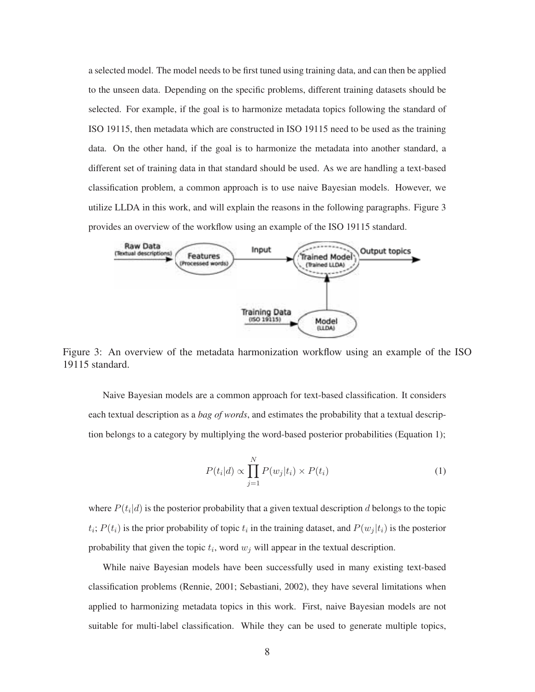a selected model. The model needs to be first tuned using training data, and can then be applied to the unseen data. Depending on the specific problems, different training datasets should be selected. For example, if the goal is to harmonize metadata topics following the standard of ISO 19115, then metadata which are constructed in ISO 19115 need to be used as the training data. On the other hand, if the goal is to harmonize the metadata into another standard, a different set of training data in that standard should be used. As we are handling a text-based classification problem, a common approach is to use naive Bayesian models. However, we utilize LLDA in this work, and will explain the reasons in the following paragraphs. Figure 3 provides an overview of the workflow using an example of the ISO 19115 standard.



Figure 3: An overview of the metadata harmonization workflow using an example of the ISO 19115 standard.

Naive Bayesian models are a common approach for text-based classification. It considers each textual description as a *bag of words*, and estimates the probability that a textual description belongs to a category by multiplying the word-based posterior probabilities (Equation 1);

$$
P(t_i|d) \propto \prod_{j=1}^{N} P(w_j|t_i) \times P(t_i)
$$
 (1)

where  $P(t_i|d)$  is the posterior probability that a given textual description d belongs to the topic  $t_i$ ;  $P(t_i)$  is the prior probability of topic  $t_i$  in the training dataset, and  $P(w_j | t_i)$  is the posterior probability that given the topic  $t_i$ , word  $w_j$  will appear in the textual description.

While naive Bayesian models have been successfully used in many existing text-based classification problems (Rennie, 2001; Sebastiani, 2002), they have several limitations when applied to harmonizing metadata topics in this work. First, naive Bayesian models are not suitable for multi-label classification. While they can be used to generate multiple topics,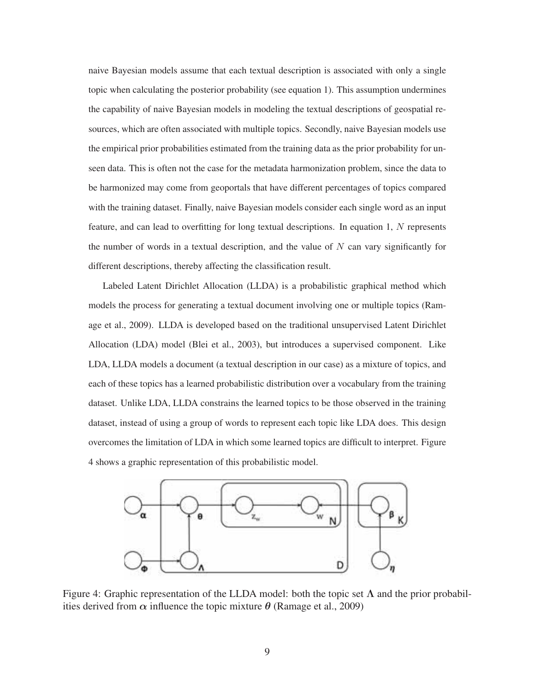naive Bayesian models assume that each textual description is associated with only a single topic when calculating the posterior probability (see equation 1). This assumption undermines the capability of naive Bayesian models in modeling the textual descriptions of geospatial resources, which are often associated with multiple topics. Secondly, naive Bayesian models use the empirical prior probabilities estimated from the training data as the prior probability for unseen data. This is often not the case for the metadata harmonization problem, since the data to be harmonized may come from geoportals that have different percentages of topics compared with the training dataset. Finally, naive Bayesian models consider each single word as an input feature, and can lead to overfitting for long textual descriptions. In equation 1, N represents the number of words in a textual description, and the value of  $N$  can vary significantly for different descriptions, thereby affecting the classification result.

Labeled Latent Dirichlet Allocation (LLDA) is a probabilistic graphical method which models the process for generating a textual document involving one or multiple topics (Ramage et al., 2009). LLDA is developed based on the traditional unsupervised Latent Dirichlet Allocation (LDA) model (Blei et al., 2003), but introduces a supervised component. Like LDA, LLDA models a document (a textual description in our case) as a mixture of topics, and each of these topics has a learned probabilistic distribution over a vocabulary from the training dataset. Unlike LDA, LLDA constrains the learned topics to be those observed in the training dataset, instead of using a group of words to represent each topic like LDA does. This design overcomes the limitation of LDA in which some learned topics are difficult to interpret. Figure 4 shows a graphic representation of this probabilistic model.



Figure 4: Graphic representation of the LLDA model: both the topic set **Λ** and the prior probabilities derived from  $\alpha$  influence the topic mixture  $\theta$  (Ramage et al., 2009)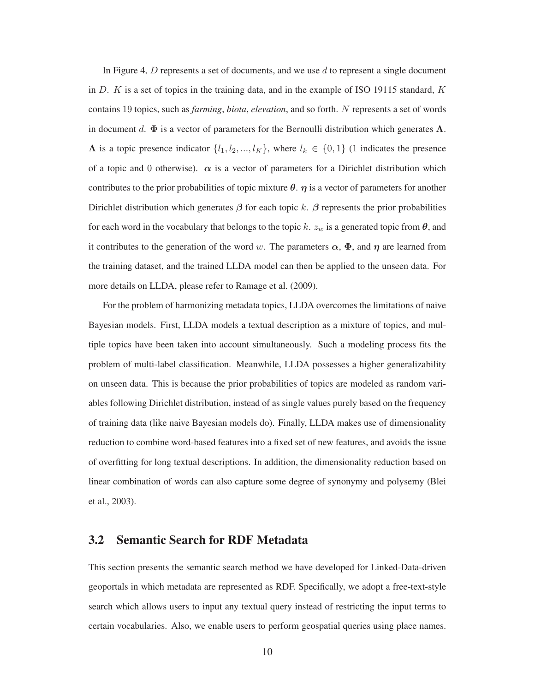In Figure 4,  $D$  represents a set of documents, and we use  $d$  to represent a single document in D. K is a set of topics in the training data, and in the example of ISO 19115 standard,  $K$ contains 19 topics, such as *farming*, *biota*, *elevation*, and so forth. N represents a set of words in document d.  $\Phi$  is a vector of parameters for the Bernoulli distribution which generates  $\Lambda$ .  $\Lambda$  is a topic presence indicator  $\{l_1, l_2, ..., l_K\}$ , where  $l_k \in \{0, 1\}$  (1 indicates the presence of a topic and 0 otherwise).  $\alpha$  is a vector of parameters for a Dirichlet distribution which contributes to the prior probabilities of topic mixture  $\theta$ .  $\eta$  is a vector of parameters for another Dirichlet distribution which generates *β* for each topic k. *β* represents the prior probabilities for each word in the vocabulary that belongs to the topic k.  $z_w$  is a generated topic from  $\theta$ , and it contributes to the generation of the word w. The parameters  $\alpha$ ,  $\Phi$ , and  $\eta$  are learned from the training dataset, and the trained LLDA model can then be applied to the unseen data. For more details on LLDA, please refer to Ramage et al. (2009).

For the problem of harmonizing metadata topics, LLDA overcomes the limitations of naive Bayesian models. First, LLDA models a textual description as a mixture of topics, and multiple topics have been taken into account simultaneously. Such a modeling process fits the problem of multi-label classification. Meanwhile, LLDA possesses a higher generalizability on unseen data. This is because the prior probabilities of topics are modeled as random variables following Dirichlet distribution, instead of as single values purely based on the frequency of training data (like naive Bayesian models do). Finally, LLDA makes use of dimensionality reduction to combine word-based features into a fixed set of new features, and avoids the issue of overfitting for long textual descriptions. In addition, the dimensionality reduction based on linear combination of words can also capture some degree of synonymy and polysemy (Blei et al., 2003).

#### 3.2 Semantic Search for RDF Metadata

This section presents the semantic search method we have developed for Linked-Data-driven geoportals in which metadata are represented as RDF. Specifically, we adopt a free-text-style search which allows users to input any textual query instead of restricting the input terms to certain vocabularies. Also, we enable users to perform geospatial queries using place names.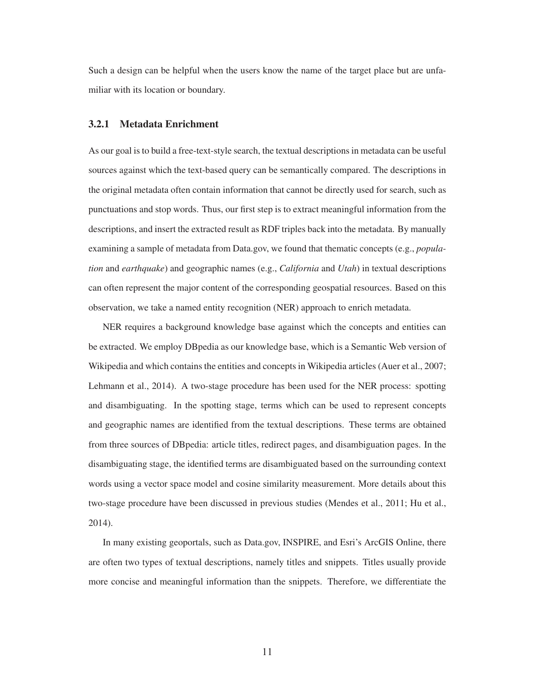Such a design can be helpful when the users know the name of the target place but are unfamiliar with its location or boundary.

#### 3.2.1 Metadata Enrichment

As our goal is to build a free-text-style search, the textual descriptions in metadata can be useful sources against which the text-based query can be semantically compared. The descriptions in the original metadata often contain information that cannot be directly used for search, such as punctuations and stop words. Thus, our first step is to extract meaningful information from the descriptions, and insert the extracted result as RDF triples back into the metadata. By manually examining a sample of metadata from Data.gov, we found that thematic concepts (e.g., *population* and *earthquake*) and geographic names (e.g., *California* and *Utah*) in textual descriptions can often represent the major content of the corresponding geospatial resources. Based on this observation, we take a named entity recognition (NER) approach to enrich metadata.

NER requires a background knowledge base against which the concepts and entities can be extracted. We employ DBpedia as our knowledge base, which is a Semantic Web version of Wikipedia and which contains the entities and concepts in Wikipedia articles (Auer et al., 2007; Lehmann et al., 2014). A two-stage procedure has been used for the NER process: spotting and disambiguating. In the spotting stage, terms which can be used to represent concepts and geographic names are identified from the textual descriptions. These terms are obtained from three sources of DBpedia: article titles, redirect pages, and disambiguation pages. In the disambiguating stage, the identified terms are disambiguated based on the surrounding context words using a vector space model and cosine similarity measurement. More details about this two-stage procedure have been discussed in previous studies (Mendes et al., 2011; Hu et al., 2014).

In many existing geoportals, such as Data.gov, INSPIRE, and Esri's ArcGIS Online, there are often two types of textual descriptions, namely titles and snippets. Titles usually provide more concise and meaningful information than the snippets. Therefore, we differentiate the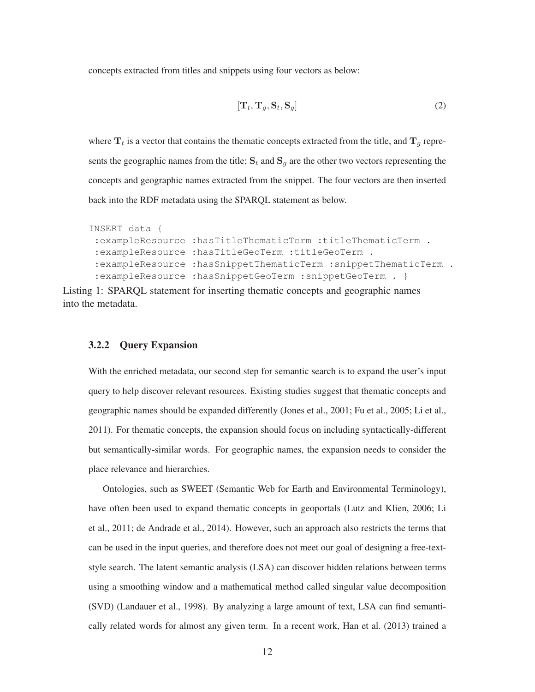concepts extracted from titles and snippets using four vectors as below:

$$
[\mathbf{T}_t, \mathbf{T}_g, \mathbf{S}_t, \mathbf{S}_g]
$$
 (2)

where  $\mathbf{T}_t$  is a vector that contains the thematic concepts extracted from the title, and  $\mathbf{T}_q$  represents the geographic names from the title;  $S_t$  and  $S_q$  are the other two vectors representing the concepts and geographic names extracted from the snippet. The four vectors are then inserted back into the RDF metadata using the SPARQL statement as below.

```
INSERT data {
 :exampleResource :hasTitleThematicTerm :titleThematicTerm .
:exampleResource :hasTitleGeoTerm :titleGeoTerm .
 :exampleResource :hasSnippetThematicTerm :snippetThematicTerm .
 :exampleResource :hasSnippetGeoTerm :snippetGeoTerm . }
```
Listing 1: SPARQL statement for inserting thematic concepts and geographic names into the metadata.

#### 3.2.2 Query Expansion

With the enriched metadata, our second step for semantic search is to expand the user's input query to help discover relevant resources. Existing studies suggest that thematic concepts and geographic names should be expanded differently (Jones et al., 2001; Fu et al., 2005; Li et al., 2011). For thematic concepts, the expansion should focus on including syntactically-different but semantically-similar words. For geographic names, the expansion needs to consider the place relevance and hierarchies.

Ontologies, such as SWEET (Semantic Web for Earth and Environmental Terminology), have often been used to expand thematic concepts in geoportals (Lutz and Klien, 2006; Li et al., 2011; de Andrade et al., 2014). However, such an approach also restricts the terms that can be used in the input queries, and therefore does not meet our goal of designing a free-textstyle search. The latent semantic analysis (LSA) can discover hidden relations between terms using a smoothing window and a mathematical method called singular value decomposition (SVD) (Landauer et al., 1998). By analyzing a large amount of text, LSA can find semantically related words for almost any given term. In a recent work, Han et al. (2013) trained a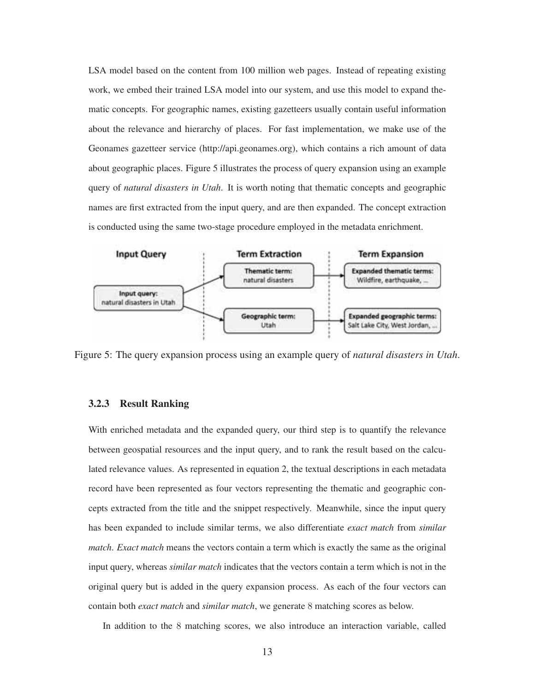LSA model based on the content from 100 million web pages. Instead of repeating existing work, we embed their trained LSA model into our system, and use this model to expand thematic concepts. For geographic names, existing gazetteers usually contain useful information about the relevance and hierarchy of places. For fast implementation, we make use of the Geonames gazetteer service (http://api.geonames.org), which contains a rich amount of data about geographic places. Figure 5 illustrates the process of query expansion using an example query of *natural disasters in Utah*. It is worth noting that thematic concepts and geographic names are first extracted from the input query, and are then expanded. The concept extraction is conducted using the same two-stage procedure employed in the metadata enrichment.



Figure 5: The query expansion process using an example query of *natural disasters in Utah*.

#### 3.2.3 Result Ranking

With enriched metadata and the expanded query, our third step is to quantify the relevance between geospatial resources and the input query, and to rank the result based on the calculated relevance values. As represented in equation 2, the textual descriptions in each metadata record have been represented as four vectors representing the thematic and geographic concepts extracted from the title and the snippet respectively. Meanwhile, since the input query has been expanded to include similar terms, we also differentiate *exact match* from *similar match*. *Exact match* means the vectors contain a term which is exactly the same as the original input query, whereas *similar match* indicates that the vectors contain a term which is not in the original query but is added in the query expansion process. As each of the four vectors can contain both *exact match* and *similar match*, we generate 8 matching scores as below.

In addition to the 8 matching scores, we also introduce an interaction variable, called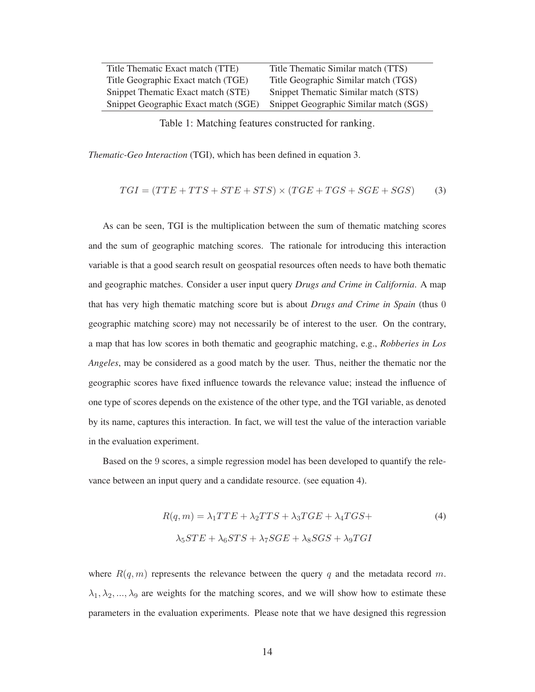| Title Thematic Exact match (TTE)     | Title Thematic Similar match (TTS)     |  |
|--------------------------------------|----------------------------------------|--|
| Title Geographic Exact match (TGE)   | Title Geographic Similar match (TGS)   |  |
| Snippet Thematic Exact match (STE)   | Snippet Thematic Similar match (STS)   |  |
| Snippet Geographic Exact match (SGE) | Snippet Geographic Similar match (SGS) |  |

Table 1: Matching features constructed for ranking.

*Thematic-Geo Interaction* (TGI), which has been defined in equation 3.

$$
TGI = (TTE + TTS + STE + STS) \times (TGE + TGS + SGE + SGS)
$$
 (3)

As can be seen, TGI is the multiplication between the sum of thematic matching scores and the sum of geographic matching scores. The rationale for introducing this interaction variable is that a good search result on geospatial resources often needs to have both thematic and geographic matches. Consider a user input query *Drugs and Crime in California*. A map that has very high thematic matching score but is about *Drugs and Crime in Spain* (thus 0 geographic matching score) may not necessarily be of interest to the user. On the contrary, a map that has low scores in both thematic and geographic matching, e.g., *Robberies in Los Angeles*, may be considered as a good match by the user. Thus, neither the thematic nor the geographic scores have fixed influence towards the relevance value; instead the influence of one type of scores depends on the existence of the other type, and the TGI variable, as denoted by its name, captures this interaction. In fact, we will test the value of the interaction variable in the evaluation experiment.

Based on the 9 scores, a simple regression model has been developed to quantify the relevance between an input query and a candidate resource. (see equation 4).

$$
R(q,m) = \lambda_1 TTE + \lambda_2 TTS + \lambda_3 TGE + \lambda_4 TGS +
$$
  

$$
\lambda_5 STE + \lambda_6 STS + \lambda_7 SGE + \lambda_8 SGS + \lambda_9 TGI
$$
 (4)

where  $R(q, m)$  represents the relevance between the query q and the metadata record m.  $\lambda_1, \lambda_2, ..., \lambda_9$  are weights for the matching scores, and we will show how to estimate these parameters in the evaluation experiments. Please note that we have designed this regression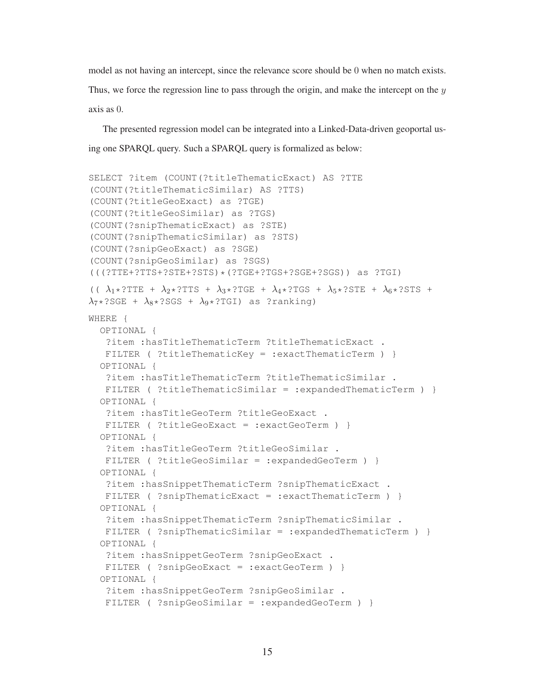model as not having an intercept, since the relevance score should be 0 when no match exists. Thus, we force the regression line to pass through the origin, and make the intercept on the  $y$ axis as 0.

The presented regression model can be integrated into a Linked-Data-driven geoportal using one SPARQL query. Such a SPARQL query is formalized as below:

```
SELECT ?item (COUNT(?titleThematicExact) AS ?TTE
(COUNT(?titleThematicSimilar) AS ?TTS)
(COUNT(?titleGeoExact) as ?TGE)
(COUNT(?titleGeoSimilar) as ?TGS)
(COUNT(?snipThematicExact) as ?STE)
(COUNT(?snipThematicSimilar) as ?STS)
(COUNT(?snipGeoExact) as ?SGE)
(COUNT(?snipGeoSimilar) as ?SGS)
(((?TTE+?TTS+?STE+?STS)*(?TGE+?TGS+?SGE+?SGS)) as ?TGI)
(( \lambda_1*?TTE + \lambda_2*?TTS + \lambda_3*?TGE + \lambda_4*?TGS + \lambda_5*?STE + \lambda_6*?STS +
\lambda_7*?SGE + \lambda_8*?SGS + \lambda_9*?TGI) as ?ranking)
WHERE {
  OPTIONAL {
   ?item :hasTitleThematicTerm ?titleThematicExact .
   FILTER ( ?titleThematicKey = :exactThematicTerm ) }
  OPTIONAL {
   ?item :hasTitleThematicTerm ?titleThematicSimilar .
   FILTER ( ?titleThematicSimilar = :expandedThematicTerm ) }
  OPTIONAL {
   ?item :hasTitleGeoTerm ?titleGeoExact .
   FILTER ( ?titleGeoExact = :exactGeoTerm ) }
  OPTIONAL {
   ?item :hasTitleGeoTerm ?titleGeoSimilar .
   FILTER ( ?titleGeoSimilar = :expandedGeoTerm ) }
  OPTIONAL {
   ?item :hasSnippetThematicTerm ?snipThematicExact .
   FILTER ( ?snipThematicExact = :exactThematicTerm ) }
  OPTIONAL {
   ?item :hasSnippetThematicTerm ?snipThematicSimilar .
   FILTER ( ?snipThematicSimilar = :expandedThematicTerm ) }
  OPTIONAL {
   ?item :hasSnippetGeoTerm ?snipGeoExact .
   FILTER ( ?snipGeoExact = :exactGeoTerm ) }
  OPTIONAL {
   ?item :hasSnippetGeoTerm ?snipGeoSimilar .
   FILTER ( ?snipGeoSimilar = :expandedGeoTerm ) }
```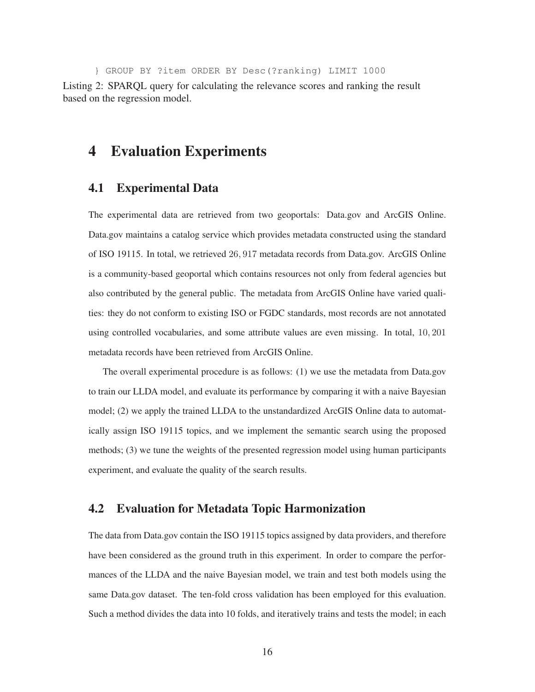} GROUP BY ?item ORDER BY Desc(?ranking) LIMIT 1000 Listing 2: SPARQL query for calculating the relevance scores and ranking the result based on the regression model.

### 4 Evaluation Experiments

#### 4.1 Experimental Data

The experimental data are retrieved from two geoportals: Data.gov and ArcGIS Online. Data.gov maintains a catalog service which provides metadata constructed using the standard of ISO 19115. In total, we retrieved 26, 917 metadata records from Data.gov. ArcGIS Online is a community-based geoportal which contains resources not only from federal agencies but also contributed by the general public. The metadata from ArcGIS Online have varied qualities: they do not conform to existing ISO or FGDC standards, most records are not annotated using controlled vocabularies, and some attribute values are even missing. In total, 10, 201 metadata records have been retrieved from ArcGIS Online.

The overall experimental procedure is as follows: (1) we use the metadata from Data.gov to train our LLDA model, and evaluate its performance by comparing it with a naive Bayesian model; (2) we apply the trained LLDA to the unstandardized ArcGIS Online data to automatically assign ISO 19115 topics, and we implement the semantic search using the proposed methods; (3) we tune the weights of the presented regression model using human participants experiment, and evaluate the quality of the search results.

#### 4.2 Evaluation for Metadata Topic Harmonization

The data from Data.gov contain the ISO 19115 topics assigned by data providers, and therefore have been considered as the ground truth in this experiment. In order to compare the performances of the LLDA and the naive Bayesian model, we train and test both models using the same Data.gov dataset. The ten-fold cross validation has been employed for this evaluation. Such a method divides the data into 10 folds, and iteratively trains and tests the model; in each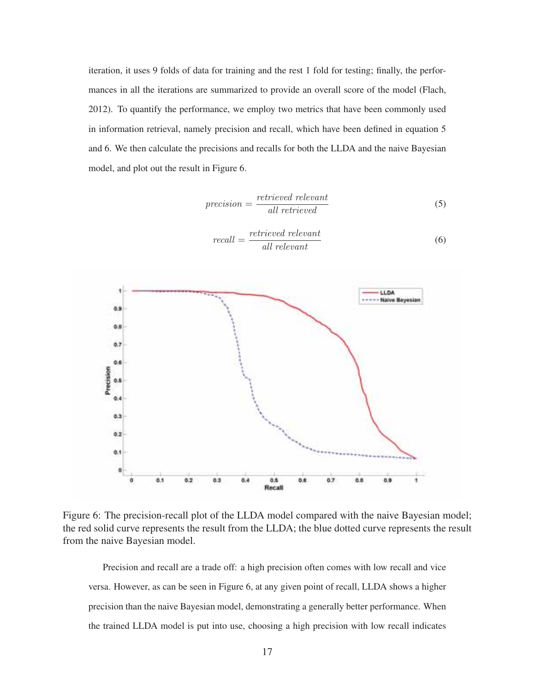iteration, it uses 9 folds of data for training and the rest 1 fold for testing; finally, the performances in all the iterations are summarized to provide an overall score of the model (Flach, 2012). To quantify the performance, we employ two metrics that have been commonly used in information retrieval, namely precision and recall, which have been defined in equation 5 and 6. We then calculate the precisions and recalls for both the LLDA and the naive Bayesian model, and plot out the result in Figure 6.

$$
precision = \frac{retrieved\ relevant}{all\ retrieval}
$$
\n(5)

$$
recall = \frac{retrieved\ relevant}{all\ relevant} \tag{6}
$$



Figure 6: The precision-recall plot of the LLDA model compared with the naive Bayesian model; the red solid curve represents the result from the LLDA; the blue dotted curve represents the result from the naive Bayesian model.

Precision and recall are a trade off: a high precision often comes with low recall and vice versa. However, as can be seen in Figure 6, at any given point of recall, LLDA shows a higher precision than the naive Bayesian model, demonstrating a generally better performance. When the trained LLDA model is put into use, choosing a high precision with low recall indicates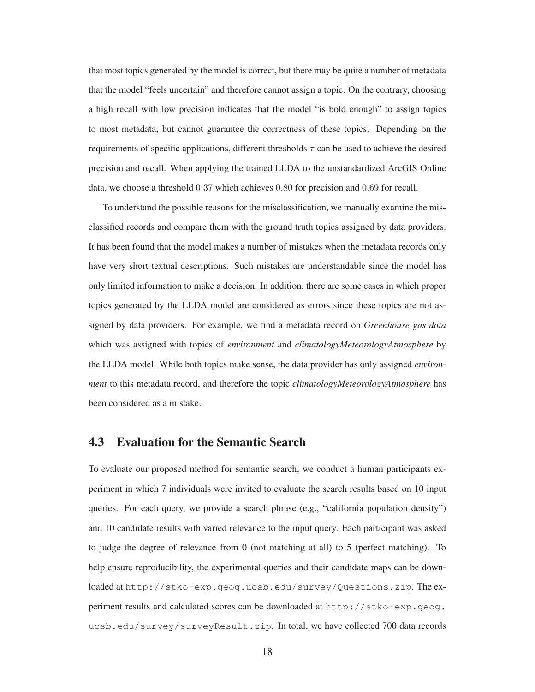that most topics generated by the model is correct, but there may be quite a number of metadata that the model "feels uncertain" and therefore cannot assign a topic. On the contrary, choosing a high recall with low precision indicates that the model "is bold enough" to assign topics to most metadata, but cannot guarantee the correctness of these topics. Depending on the requirements of specific applications, different thresholds  $\tau$  can be used to achieve the desired precision and recall. When applying the trained LLDA to the unstandardized ArcGIS Online data, we choose a threshold 0.37 which achieves 0.80 for precision and 0.69 for recall.

To understand the possible reasons for the misclassification, we manually examine the misclassified records and compare them with the ground truth topics assigned by data providers. It has been found that the model makes a number of mistakes when the metadata records only have very short textual descriptions. Such mistakes are understandable since the model has only limited information to make a decision. In addition, there are some cases in which proper topics generated by the LLDA model are considered as errors since these topics are not assigned by data providers. For example, we find a metadata record on *Greenhouse gas data* which was assigned with topics of *environment* and *climatologyMeteorologyAtmosphere* by the LLDA model. While both topics make sense, the data provider has only assigned *environment* to this metadata record, and therefore the topic *climatologyMeteorologyAtmosphere* has been considered as a mistake.

### 4.3 Evaluation for the Semantic Search

To evaluate our proposed method for semantic search, we conduct a human participants experiment in which 7 individuals were invited to evaluate the search results based on 10 input queries. For each query, we provide a search phrase (e.g., "california population density") and 10 candidate results with varied relevance to the input query. Each participant was asked to judge the degree of relevance from 0 (not matching at all) to 5 (perfect matching). To help ensure reproducibility, the experimental queries and their candidate maps can be downloaded at http://stko-exp.geog.ucsb.edu/survey/Questions.zip. The experiment results and calculated scores can be downloaded at http://stko-exp.geog. ucsb.edu/survey/surveyResult.zip. In total, we have collected 700 data records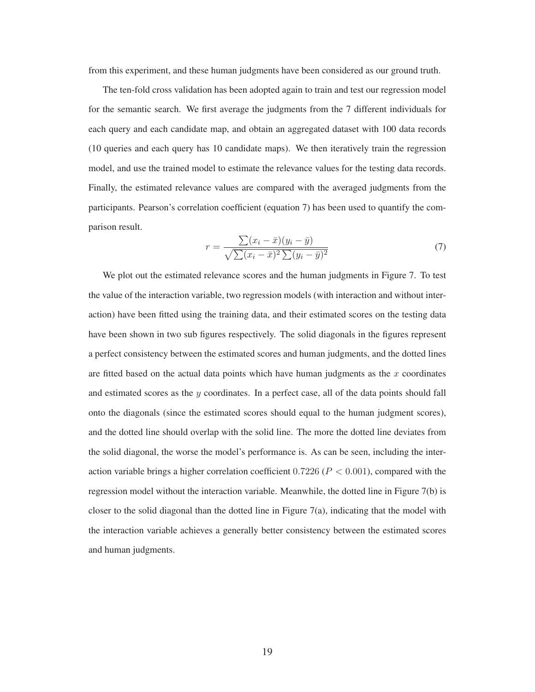from this experiment, and these human judgments have been considered as our ground truth.

The ten-fold cross validation has been adopted again to train and test our regression model for the semantic search. We first average the judgments from the 7 different individuals for each query and each candidate map, and obtain an aggregated dataset with 100 data records (10 queries and each query has 10 candidate maps). We then iteratively train the regression model, and use the trained model to estimate the relevance values for the testing data records. Finally, the estimated relevance values are compared with the averaged judgments from the participants. Pearson's correlation coefficient (equation 7) has been used to quantify the comparison result.

$$
r = \frac{\sum (x_i - \bar{x})(y_i - \bar{y})}{\sqrt{\sum (x_i - \bar{x})^2 \sum (y_i - \bar{y})^2}}
$$
(7)

We plot out the estimated relevance scores and the human judgments in Figure 7. To test the value of the interaction variable, two regression models (with interaction and without interaction) have been fitted using the training data, and their estimated scores on the testing data have been shown in two sub figures respectively. The solid diagonals in the figures represent a perfect consistency between the estimated scores and human judgments, and the dotted lines are fitted based on the actual data points which have human judgments as the  $x$  coordinates and estimated scores as the  $y$  coordinates. In a perfect case, all of the data points should fall onto the diagonals (since the estimated scores should equal to the human judgment scores), and the dotted line should overlap with the solid line. The more the dotted line deviates from the solid diagonal, the worse the model's performance is. As can be seen, including the interaction variable brings a higher correlation coefficient  $0.7226$  ( $P < 0.001$ ), compared with the regression model without the interaction variable. Meanwhile, the dotted line in Figure 7(b) is closer to the solid diagonal than the dotted line in Figure  $7(a)$ , indicating that the model with the interaction variable achieves a generally better consistency between the estimated scores and human judgments.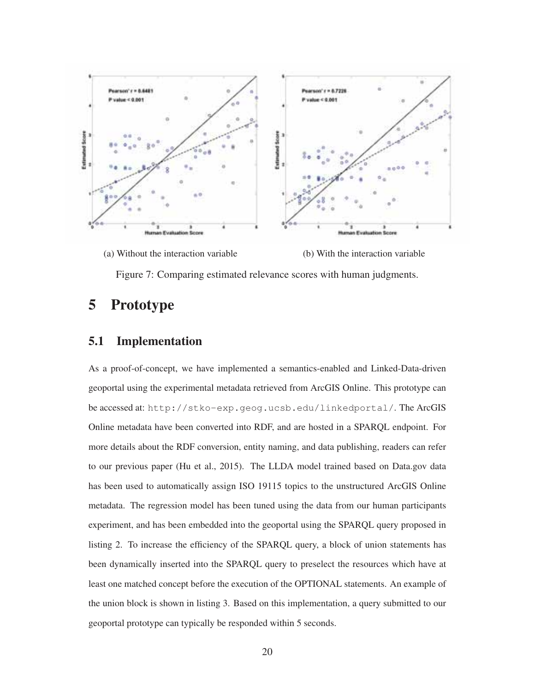

(a) Without the interaction variable (b) With the interaction variable Figure 7: Comparing estimated relevance scores with human judgments.

# 5 Prototype

### 5.1 Implementation

As a proof-of-concept, we have implemented a semantics-enabled and Linked-Data-driven geoportal using the experimental metadata retrieved from ArcGIS Online. This prototype can be accessed at: http://stko-exp.geog.ucsb.edu/linkedportal/. The ArcGIS Online metadata have been converted into RDF, and are hosted in a SPARQL endpoint. For more details about the RDF conversion, entity naming, and data publishing, readers can refer to our previous paper (Hu et al., 2015). The LLDA model trained based on Data.gov data has been used to automatically assign ISO 19115 topics to the unstructured ArcGIS Online metadata. The regression model has been tuned using the data from our human participants experiment, and has been embedded into the geoportal using the SPARQL query proposed in listing 2. To increase the efficiency of the SPARQL query, a block of union statements has been dynamically inserted into the SPARQL query to preselect the resources which have at least one matched concept before the execution of the OPTIONAL statements. An example of the union block is shown in listing 3. Based on this implementation, a query submitted to our geoportal prototype can typically be responded within 5 seconds.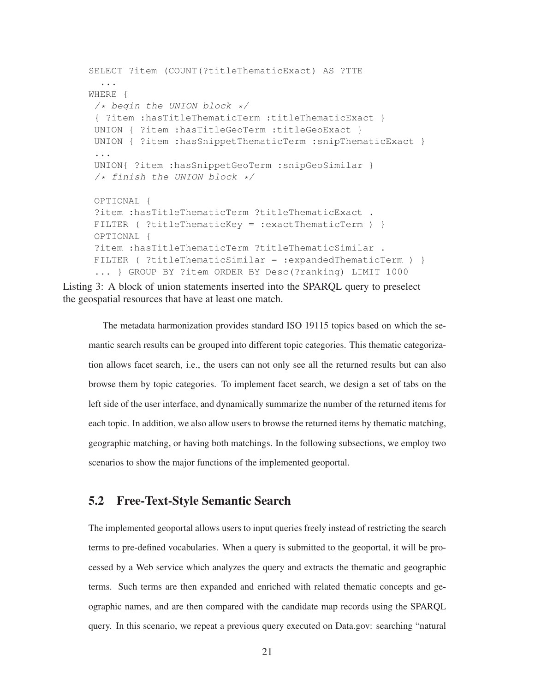```
SELECT ?item (COUNT(?titleThematicExact) AS ?TTE
  ...
WHERE {
 { ?item :hasTitleThematicTerm :titleThematicExact }
 UNION { ?item :hasTitleGeoTerm :titleGeoExact }
 UNION { ?item :hasSnippetThematicTerm :snipThematicExact }
 ...
 UNION{ ?item :hasSnippetGeoTerm :snipGeoSimilar }
 /* finish the UNION block */
 OPTIONAL {
 ?item :hasTitleThematicTerm ?titleThematicExact .
 FILTER ( ?titleThematicKey = :exactThematicTerm ) }
 OPTIONAL {
 ?item :hasTitleThematicTerm ?titleThematicSimilar .
 FILTER ( ?titleThematicSimilar = :expandedThematicTerm ) }
 ... } GROUP BY ?item ORDER BY Desc(?ranking) LIMIT 1000
```

```
Listing 3: A block of union statements inserted into the SPARQL query to preselect
the geospatial resources that have at least one match.
```
The metadata harmonization provides standard ISO 19115 topics based on which the semantic search results can be grouped into different topic categories. This thematic categorization allows facet search, i.e., the users can not only see all the returned results but can also browse them by topic categories. To implement facet search, we design a set of tabs on the left side of the user interface, and dynamically summarize the number of the returned items for each topic. In addition, we also allow users to browse the returned items by thematic matching, geographic matching, or having both matchings. In the following subsections, we employ two scenarios to show the major functions of the implemented geoportal.

### 5.2 Free-Text-Style Semantic Search

The implemented geoportal allows users to input queries freely instead of restricting the search terms to pre-defined vocabularies. When a query is submitted to the geoportal, it will be processed by a Web service which analyzes the query and extracts the thematic and geographic terms. Such terms are then expanded and enriched with related thematic concepts and geographic names, and are then compared with the candidate map records using the SPARQL query. In this scenario, we repeat a previous query executed on Data.gov: searching "natural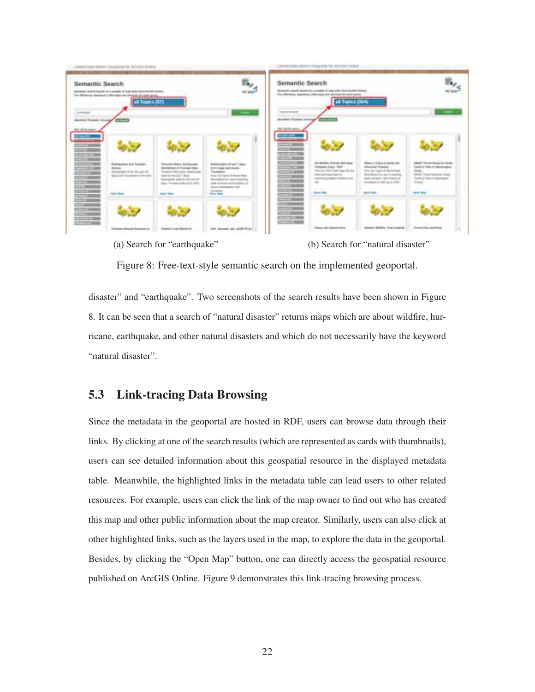

(a) Search for "earthquake" (b) Search for "natural disaster"

Figure 8: Free-text-style semantic search on the implemented geoportal.

disaster" and "earthquake". Two screenshots of the search results have been shown in Figure 8. It can be seen that a search of "natural disaster" returns maps which are about wildfire, hurricane, earthquake, and other natural disasters and which do not necessarily have the keyword "natural disaster".

### 5.3 Link-tracing Data Browsing

Since the metadata in the geoportal are hosted in RDF, users can browse data through their links. By clicking at one of the search results (which are represented as cards with thumbnails), users can see detailed information about this geospatial resource in the displayed metadata table. Meanwhile, the highlighted links in the metadata table can lead users to other related resources. For example, users can click the link of the map owner to find out who has created this map and other public information about the map creator. Similarly, users can also click at other highlighted links, such as the layers used in the map, to explore the data in the geoportal. Besides, by clicking the "Open Map" button, one can directly access the geospatial resource published on ArcGIS Online. Figure 9 demonstrates this link-tracing browsing process.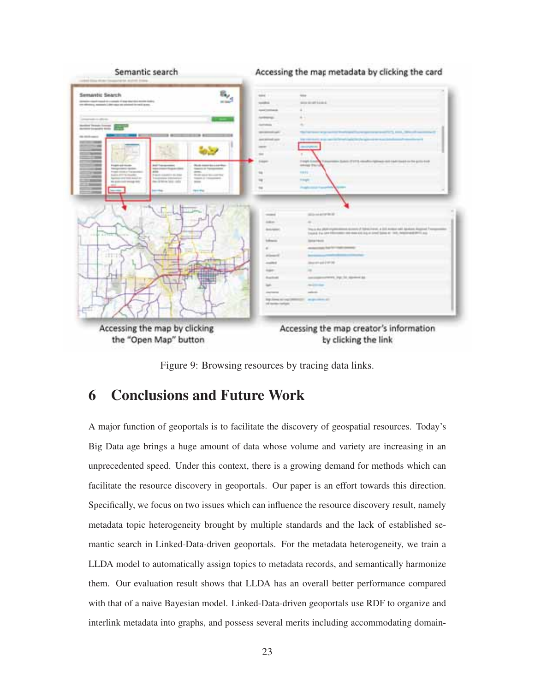

Figure 9: Browsing resources by tracing data links.

# 6 Conclusions and Future Work

A major function of geoportals is to facilitate the discovery of geospatial resources. Today's Big Data age brings a huge amount of data whose volume and variety are increasing in an unprecedented speed. Under this context, there is a growing demand for methods which can facilitate the resource discovery in geoportals. Our paper is an effort towards this direction. Specifically, we focus on two issues which can influence the resource discovery result, namely metadata topic heterogeneity brought by multiple standards and the lack of established semantic search in Linked-Data-driven geoportals. For the metadata heterogeneity, we train a LLDA model to automatically assign topics to metadata records, and semantically harmonize them. Our evaluation result shows that LLDA has an overall better performance compared with that of a naive Bayesian model. Linked-Data-driven geoportals use RDF to organize and interlink metadata into graphs, and possess several merits including accommodating domain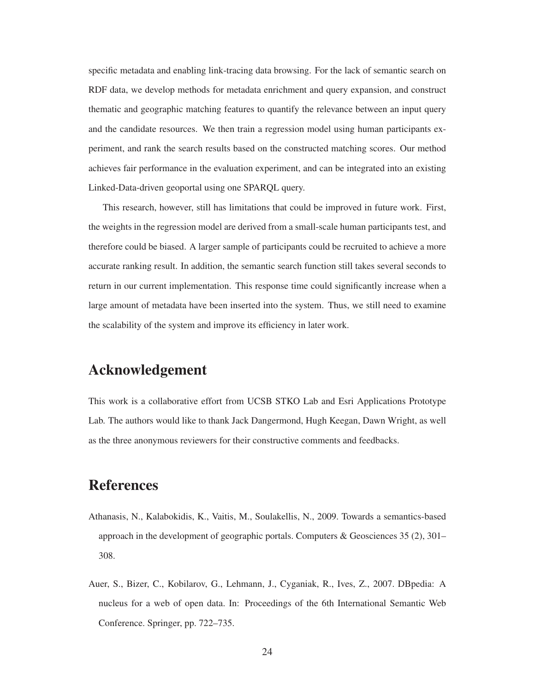specific metadata and enabling link-tracing data browsing. For the lack of semantic search on RDF data, we develop methods for metadata enrichment and query expansion, and construct thematic and geographic matching features to quantify the relevance between an input query and the candidate resources. We then train a regression model using human participants experiment, and rank the search results based on the constructed matching scores. Our method achieves fair performance in the evaluation experiment, and can be integrated into an existing Linked-Data-driven geoportal using one SPARQL query.

This research, however, still has limitations that could be improved in future work. First, the weights in the regression model are derived from a small-scale human participants test, and therefore could be biased. A larger sample of participants could be recruited to achieve a more accurate ranking result. In addition, the semantic search function still takes several seconds to return in our current implementation. This response time could significantly increase when a large amount of metadata have been inserted into the system. Thus, we still need to examine the scalability of the system and improve its efficiency in later work.

### Acknowledgement

This work is a collaborative effort from UCSB STKO Lab and Esri Applications Prototype Lab. The authors would like to thank Jack Dangermond, Hugh Keegan, Dawn Wright, as well as the three anonymous reviewers for their constructive comments and feedbacks.

# **References**

- Athanasis, N., Kalabokidis, K., Vaitis, M., Soulakellis, N., 2009. Towards a semantics-based approach in the development of geographic portals. Computers & Geosciences 35 (2), 301– 308.
- Auer, S., Bizer, C., Kobilarov, G., Lehmann, J., Cyganiak, R., Ives, Z., 2007. DBpedia: A nucleus for a web of open data. In: Proceedings of the 6th International Semantic Web Conference. Springer, pp. 722–735.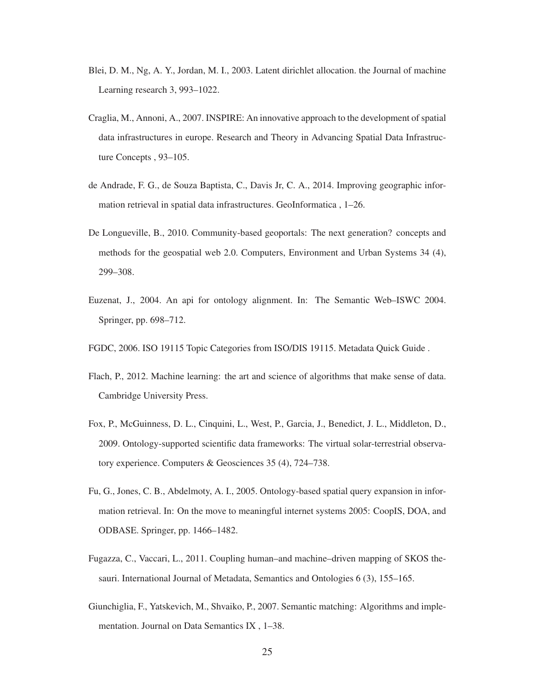- Blei, D. M., Ng, A. Y., Jordan, M. I., 2003. Latent dirichlet allocation. the Journal of machine Learning research 3, 993–1022.
- Craglia, M., Annoni, A., 2007. INSPIRE: An innovative approach to the development of spatial data infrastructures in europe. Research and Theory in Advancing Spatial Data Infrastructure Concepts , 93–105.
- de Andrade, F. G., de Souza Baptista, C., Davis Jr, C. A., 2014. Improving geographic information retrieval in spatial data infrastructures. GeoInformatica, 1–26.
- De Longueville, B., 2010. Community-based geoportals: The next generation? concepts and methods for the geospatial web 2.0. Computers, Environment and Urban Systems 34 (4), 299–308.
- Euzenat, J., 2004. An api for ontology alignment. In: The Semantic Web–ISWC 2004. Springer, pp. 698–712.

FGDC, 2006. ISO 19115 Topic Categories from ISO/DIS 19115. Metadata Quick Guide .

- Flach, P., 2012. Machine learning: the art and science of algorithms that make sense of data. Cambridge University Press.
- Fox, P., McGuinness, D. L., Cinquini, L., West, P., Garcia, J., Benedict, J. L., Middleton, D., 2009. Ontology-supported scientific data frameworks: The virtual solar-terrestrial observatory experience. Computers & Geosciences 35 (4), 724–738.
- Fu, G., Jones, C. B., Abdelmoty, A. I., 2005. Ontology-based spatial query expansion in information retrieval. In: On the move to meaningful internet systems 2005: CoopIS, DOA, and ODBASE. Springer, pp. 1466–1482.
- Fugazza, C., Vaccari, L., 2011. Coupling human–and machine–driven mapping of SKOS thesauri. International Journal of Metadata, Semantics and Ontologies 6 (3), 155–165.
- Giunchiglia, F., Yatskevich, M., Shvaiko, P., 2007. Semantic matching: Algorithms and implementation. Journal on Data Semantics IX , 1–38.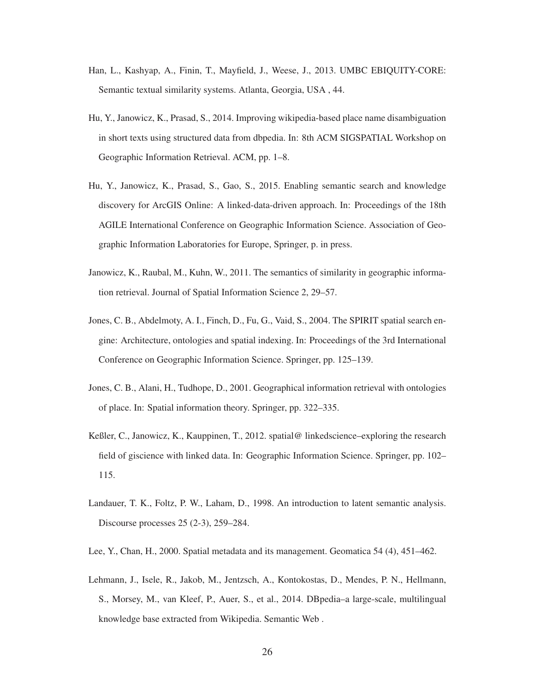- Han, L., Kashyap, A., Finin, T., Mayfield, J., Weese, J., 2013. UMBC EBIQUITY-CORE: Semantic textual similarity systems. Atlanta, Georgia, USA , 44.
- Hu, Y., Janowicz, K., Prasad, S., 2014. Improving wikipedia-based place name disambiguation in short texts using structured data from dbpedia. In: 8th ACM SIGSPATIAL Workshop on Geographic Information Retrieval. ACM, pp. 1–8.
- Hu, Y., Janowicz, K., Prasad, S., Gao, S., 2015. Enabling semantic search and knowledge discovery for ArcGIS Online: A linked-data-driven approach. In: Proceedings of the 18th AGILE International Conference on Geographic Information Science. Association of Geographic Information Laboratories for Europe, Springer, p. in press.
- Janowicz, K., Raubal, M., Kuhn, W., 2011. The semantics of similarity in geographic information retrieval. Journal of Spatial Information Science 2, 29–57.
- Jones, C. B., Abdelmoty, A. I., Finch, D., Fu, G., Vaid, S., 2004. The SPIRIT spatial search engine: Architecture, ontologies and spatial indexing. In: Proceedings of the 3rd International Conference on Geographic Information Science. Springer, pp. 125–139.
- Jones, C. B., Alani, H., Tudhope, D., 2001. Geographical information retrieval with ontologies of place. In: Spatial information theory. Springer, pp. 322–335.
- Keßler, C., Janowicz, K., Kauppinen, T., 2012. spatial@ linkedscience–exploring the research field of giscience with linked data. In: Geographic Information Science. Springer, pp. 102– 115.
- Landauer, T. K., Foltz, P. W., Laham, D., 1998. An introduction to latent semantic analysis. Discourse processes 25 (2-3), 259–284.
- Lee, Y., Chan, H., 2000. Spatial metadata and its management. Geomatica 54 (4), 451–462.
- Lehmann, J., Isele, R., Jakob, M., Jentzsch, A., Kontokostas, D., Mendes, P. N., Hellmann, S., Morsey, M., van Kleef, P., Auer, S., et al., 2014. DBpedia–a large-scale, multilingual knowledge base extracted from Wikipedia. Semantic Web .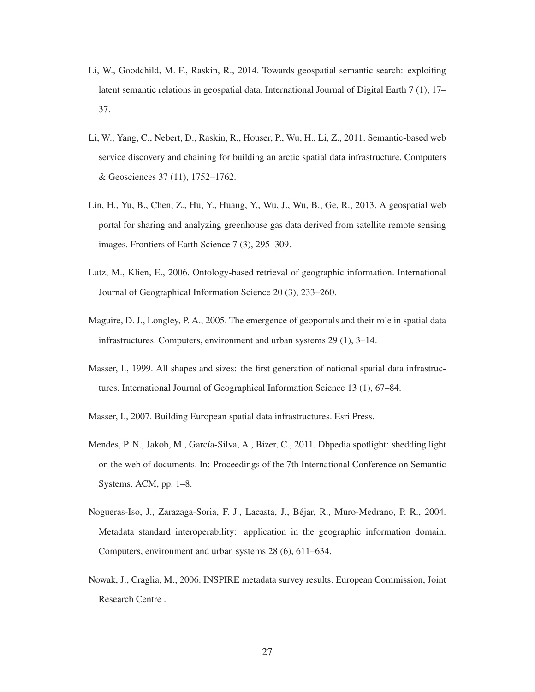- Li, W., Goodchild, M. F., Raskin, R., 2014. Towards geospatial semantic search: exploiting latent semantic relations in geospatial data. International Journal of Digital Earth 7 (1), 17– 37.
- Li, W., Yang, C., Nebert, D., Raskin, R., Houser, P., Wu, H., Li, Z., 2011. Semantic-based web service discovery and chaining for building an arctic spatial data infrastructure. Computers & Geosciences 37 (11), 1752–1762.
- Lin, H., Yu, B., Chen, Z., Hu, Y., Huang, Y., Wu, J., Wu, B., Ge, R., 2013. A geospatial web portal for sharing and analyzing greenhouse gas data derived from satellite remote sensing images. Frontiers of Earth Science 7 (3), 295–309.
- Lutz, M., Klien, E., 2006. Ontology-based retrieval of geographic information. International Journal of Geographical Information Science 20 (3), 233–260.
- Maguire, D. J., Longley, P. A., 2005. The emergence of geoportals and their role in spatial data infrastructures. Computers, environment and urban systems 29 (1), 3–14.
- Masser, I., 1999. All shapes and sizes: the first generation of national spatial data infrastructures. International Journal of Geographical Information Science 13 (1), 67–84.
- Masser, I., 2007. Building European spatial data infrastructures. Esri Press.
- Mendes, P. N., Jakob, M., García-Silva, A., Bizer, C., 2011. Dbpedia spotlight: shedding light on the web of documents. In: Proceedings of the 7th International Conference on Semantic Systems. ACM, pp. 1–8.
- Nogueras-Iso, J., Zarazaga-Soria, F. J., Lacasta, J., Bejar, R., Muro-Medrano, P. R., 2004. ´ Metadata standard interoperability: application in the geographic information domain. Computers, environment and urban systems 28 (6), 611–634.
- Nowak, J., Craglia, M., 2006. INSPIRE metadata survey results. European Commission, Joint Research Centre .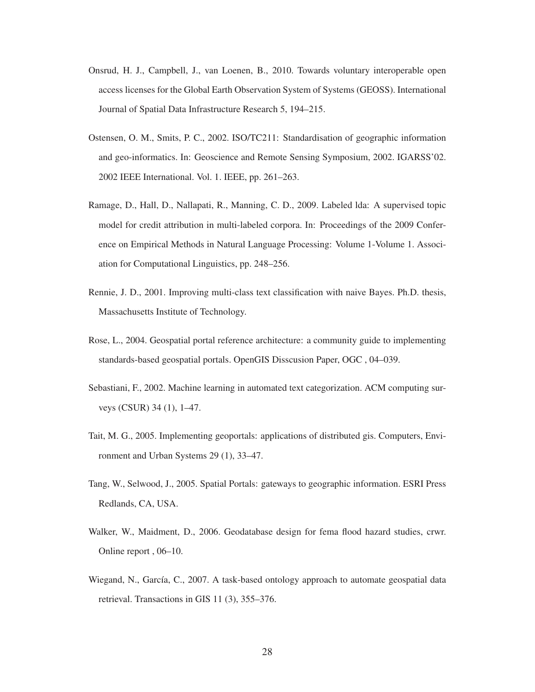- Onsrud, H. J., Campbell, J., van Loenen, B., 2010. Towards voluntary interoperable open access licenses for the Global Earth Observation System of Systems (GEOSS). International Journal of Spatial Data Infrastructure Research 5, 194–215.
- Ostensen, O. M., Smits, P. C., 2002. ISO/TC211: Standardisation of geographic information and geo-informatics. In: Geoscience and Remote Sensing Symposium, 2002. IGARSS'02. 2002 IEEE International. Vol. 1. IEEE, pp. 261–263.
- Ramage, D., Hall, D., Nallapati, R., Manning, C. D., 2009. Labeled lda: A supervised topic model for credit attribution in multi-labeled corpora. In: Proceedings of the 2009 Conference on Empirical Methods in Natural Language Processing: Volume 1-Volume 1. Association for Computational Linguistics, pp. 248–256.
- Rennie, J. D., 2001. Improving multi-class text classification with naive Bayes. Ph.D. thesis, Massachusetts Institute of Technology.
- Rose, L., 2004. Geospatial portal reference architecture: a community guide to implementing standards-based geospatial portals. OpenGIS Disscusion Paper, OGC , 04–039.
- Sebastiani, F., 2002. Machine learning in automated text categorization. ACM computing surveys (CSUR) 34 (1), 1–47.
- Tait, M. G., 2005. Implementing geoportals: applications of distributed gis. Computers, Environment and Urban Systems 29 (1), 33–47.
- Tang, W., Selwood, J., 2005. Spatial Portals: gateways to geographic information. ESRI Press Redlands, CA, USA.
- Walker, W., Maidment, D., 2006. Geodatabase design for fema flood hazard studies, crwr. Online report , 06–10.
- Wiegand, N., García, C., 2007. A task-based ontology approach to automate geospatial data retrieval. Transactions in GIS 11 (3), 355–376.